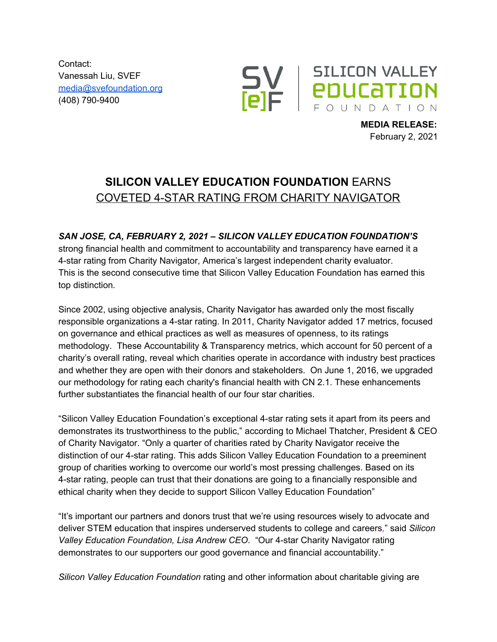Contact: Vanessah Liu, SVEF [media@svefoundation.org](mailto:media@svefoundation.org) (408) 790-9400



**MEDIA RELEASE:** February 2, 2021

## **SILICON VALLEY EDUCATION FOUNDATION** EARNS COVETED 4-STAR RATING FROM CHARITY NAVIGATOR

## *SAN JOSE, CA, FEBRUARY 2, 2021 – SILICON VALLEY EDUCATION FOUNDATION'S*

strong financial health and commitment to accountability and transparency have earned it a 4-star rating from Charity Navigator, America's largest independent charity evaluator. This is the second consecutive time that Silicon Valley Education Foundation has earned this top distinction*.*

Since 2002, using objective analysis, Charity Navigator has awarded only the most fiscally responsible organizations a 4-star rating. In 2011, Charity Navigator added 17 metrics, focused on governance and ethical practices as well as measures of openness, to its ratings methodology. These Accountability & Transparency metrics, which account for 50 percent of a charity's overall rating, reveal which charities operate in accordance with industry best practices and whether they are open with their donors and stakeholders. On June 1, 2016, we upgraded our methodology for rating each charity's financial health with CN 2.1. These enhancements further substantiates the financial health of our four star charities.

"Silicon Valley Education Foundation's exceptional 4-star rating sets it apart from its peers and demonstrates its trustworthiness to the public," according to Michael Thatcher, President & CEO of Charity Navigator. "Only a quarter of charities rated by Charity Navigator receive the distinction of our 4-star rating. This adds Silicon Valley Education Foundation to a preeminent group of charities working to overcome our world's most pressing challenges. Based on its 4-star rating, people can trust that their donations are going to a financially responsible and ethical charity when they decide to support Silicon Valley Education Foundation"

"It's important our partners and donors trust that we're using resources wisely to advocate and deliver STEM education that inspires underserved students to college and careers*,*" said *Silicon Valley Education Foundation, Lisa Andrew CEO*. "Our 4-star Charity Navigator rating demonstrates to our supporters our good governance and financial accountability."

*Silicon Valley Education Foundation* rating and other information about charitable giving are